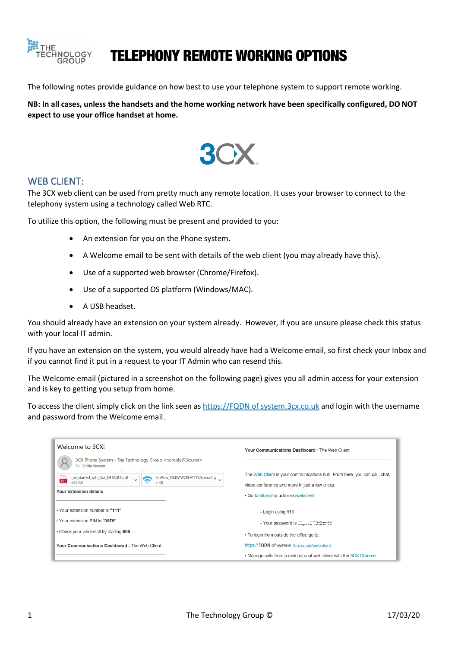

# TELEPHONY REMOTE WORKING OPTIONS

The following notes provide guidance on how best to use your telephone system to support remote working.

**NB: In all cases, unless the handsets and the home working network have been specifically configured, DO NOT expect to use your office handset at home.** 



#### WEB CLIENT:

The 3CX web client can be used from pretty much any remote location. It uses your browser to connect to the telephony system using a technology called Web RTC.

To utilize this option, the following must be present and provided to you:

- An extension for you on the Phone system.
- A Welcome email to be sent with details of the web client (you may already have this).
- Use of a supported web browser (Chrome/Firefox).
- Use of a supported OS platform (Windows/MAC).
- A USB headset.

You should already have an extension on your system already. However, if you are unsure please check this status with your local IT admin.

If you have an extension on the system, you would already have had a Welcome email, so first check your Inbox and if you cannot find it put in a request to your IT Admin who can resend this.

The Welcome email (pictured in a screenshot on the following page) gives you all admin access for your extension and is key to getting you setup from home.

To access the client simply click on the link seen as [https://FQDN](https://fqdn/) of system.3cx.co.uk and login with the username and password from the Welcome email.

| Welcome to 3CX!                                                                                  | Your Communications Dashboard - The Web Client                                           |
|--------------------------------------------------------------------------------------------------|------------------------------------------------------------------------------------------|
| 3CX Phone System - The Technology Group <noreply@3cx.net><br/>To Eddie Vincent</noreply@3cx.net> |                                                                                          |
| get_started_with_3cx_DEFAULT.pdf<br>3cxProv_YG3EZWCEHV111.3cxconfig<br>PDF<br>863 KB<br>2 KB     | The Web Client is your communications hub. From here, you can call, chat,                |
| Your extension details                                                                           | video conference and more in just a few clicks.<br>. Go to https:// ip address/webclient |
| . Your extension number is "111"                                                                 | - Login using 111                                                                        |
| . Your extension PIN is "0979".                                                                  | - Your password is copper to the 10                                                      |
| . Check your voicemail by dialling 666.                                                          | • To login from outside the office go to:                                                |
| Your Communications Dashboard - The Web Client                                                   | https://FQDN of system.3cx.co.uk/webclient                                               |
|                                                                                                  | • Manage calls from a mini pop-out web client with the 3CX Chrome                        |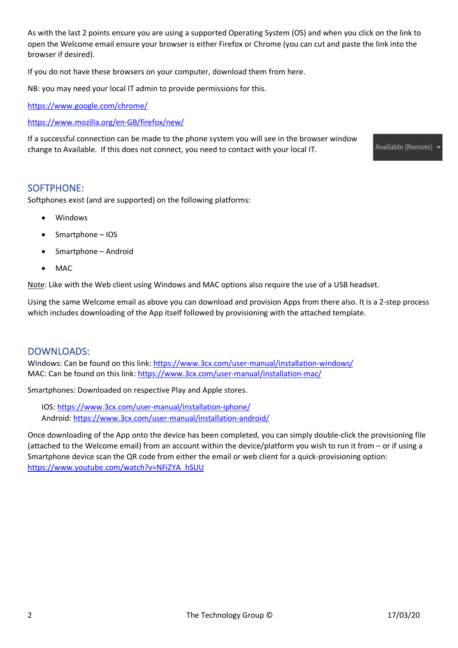As with the last 2 points ensure you are using a supported Operating System (OS) and when you click on the link to open the Welcome email ensure your browser is either Firefox or Chrome (you can cut and paste the link into the browser if desired).

If you do not have these browsers on your computer, download them from here.

NB: you may need your local IT admin to provide permissions for this.

<https://www.google.com/chrome/>

<https://www.mozilla.org/en-GB/firefox/new/>

If a successful connection can be made to the phone system you will see in the browser window change to Available. If this does not connect, you need to contact with your local IT.

Available (Remote)

#### SOFTPHONE:

Softphones exist (and are supported) on the following platforms:

- Windows
- Smartphone IOS
- Smartphone Android
- MAC

Note: Like with the Web client using Windows and MAC options also require the use of a USB headset.

Using the same Welcome email as above you can download and provision Apps from there also. It is a 2-step process which includes downloading of the App itself followed by provisioning with the attached template.

### DOWNLOADS:

Windows: Can be found on this link[: https://www.3cx.com/user-manual/installation-windows/](https://www.3cx.com/user-manual/installation-windows/) MAC: Can be found on this link:<https://www.3cx.com/user-manual/installation-mac/>

Smartphones: Downloaded on respective Play and Apple stores.

IOS[: https://www.3cx.com/user-manual/installation-iphone/](https://www.3cx.com/user-manual/installation-iphone/) Android:<https://www.3cx.com/user-manual/installation-android/>

Once downloading of the App onto the device has been completed, you can simply double-click the provisioning file (attached to the Welcome email) from an account within the device/platform you wish to run it from – or if using a Smartphone device scan the QR code from either the email or web client for a quick-provisioning option: [https://www.youtube.com/watch?v=NFiZYA\\_hSUU](https://www.youtube.com/watch?v=NFiZYA_hSUU)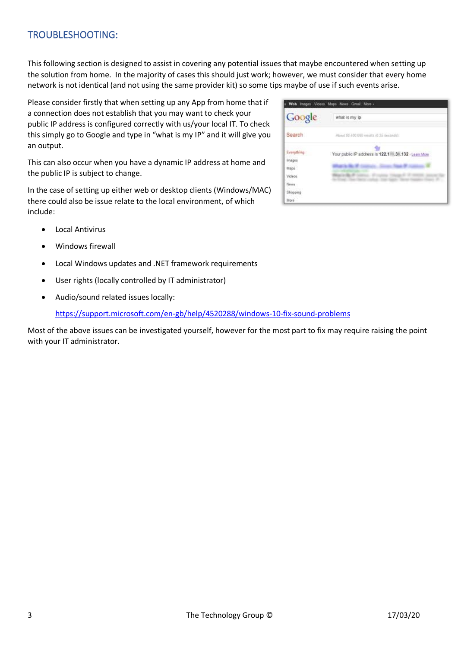## TROUBLESHOOTING:

This following section is designed to assist in covering any potential issues that maybe encountered when setting up the solution from home. In the majority of cases this should just work; however, we must consider that every home network is not identical (and not using the same provider kit) so some tips maybe of use if such events arise.

Please consider firstly that when setting up any App from home that if a connection does not establish that you may want to check your public IP address is configured correctly with us/your local IT. To check this simply go to Google and type in "what is my IP" and it will give you an output.

This can also occur when you have a dynamic IP address at home and the public IP is subject to change.

In the case of setting up either web or desktop clients (Windows/MAC) there could also be issue relate to the local environment, of which include:

- Local Antivirus
- Windows firewall
- Local Windows updates and .NET framework requirements
- User rights (locally controlled by IT administrator)
- Audio/sound related issues locally:

<https://support.microsoft.com/en-gb/help/4520288/windows-10-fix-sound-problems>

Most of the above issues can be investigated yourself, however for the most part to fix may require raising the point with your IT administrator.

| Google                       | what is my ip                                         |
|------------------------------|-------------------------------------------------------|
| Search                       | About \$5,400,090 results (0.25 seconds)              |
| Everything<br>Images<br>Maps | Your public IP address is 122.1 1.3 1.132 - Lean More |
| Videos.<br>News:             |                                                       |
| Shopping                     |                                                       |
| More -                       |                                                       |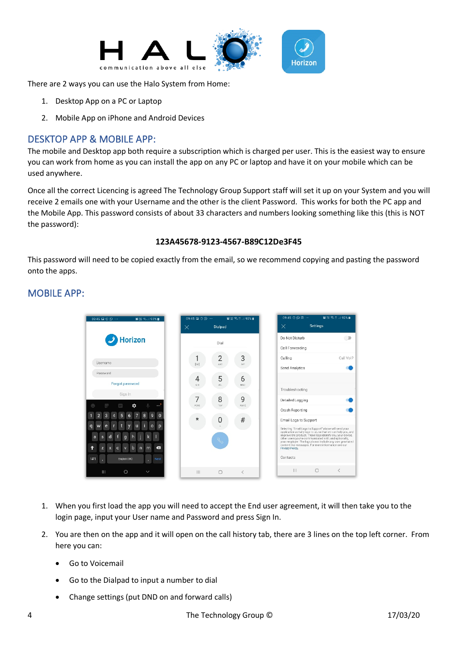

There are 2 ways you can use the Halo System from Home:

- 1. Desktop App on a PC or Laptop
- 2. Mobile App on iPhone and Android Devices

## DESKTOP APP & MOBILE APP:

The mobile and Desktop app both require a subscription which is charged per user. This is the easiest way to ensure you can work from home as you can install the app on any PC or laptop and have it on your mobile which can be used anywhere.

Once all the correct Licencing is agreed The Technology Group Support staff will set it up on your System and you will receive 2 emails one with your Username and the other is the client Password. This works for both the PC app and the Mobile App. This password consists of about 33 characters and numbers looking something like this (this is NOT the password):

#### **123A45678-9123-4567-B89C12De3F45**

This password will need to be copied exactly from the email, so we recommend copying and pasting the password onto the apps.

## MOBILE APP:



- 1. When you first load the app you will need to accept the End user agreement, it will then take you to the login page, input your User name and Password and press Sign In.
- 2. You are then on the app and it will open on the call history tab, there are 3 lines on the top left corner. From here you can:
	- Go to Voicemail
	- Go to the Dialpad to input a number to dial
	- Change settings (put DND on and forward calls)